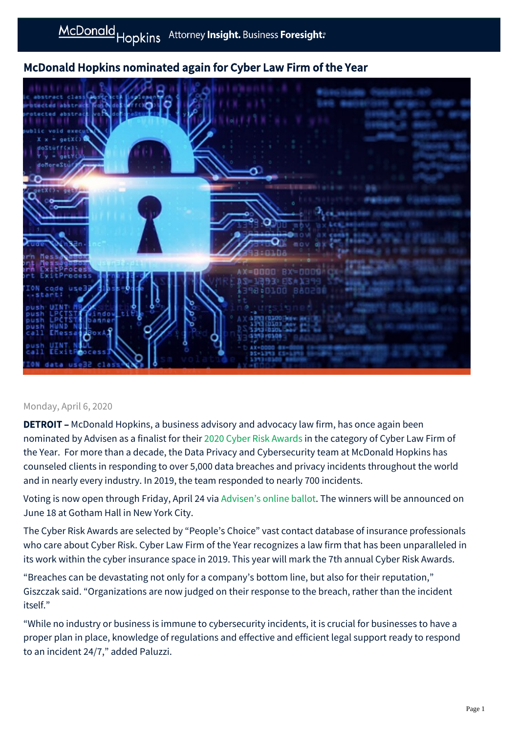# McDonald Hopkins nominated again for Cyber Law Firm of the Year



#### Monday, April 6, 2020

**DETROIT** – McDonald Hopkins, a business advisory and advocacy law firm, has once again been nominated by Advisen as a finalist for their [2020 Cyber Risk Awards](https://www.advisenltd.com/2020-cyber-risk-awards/) in the category of Cyber Law Firm of the Year. For more than a decade, the Data Privacy and Cybersecurity team at McDonald Hopkins has counseled clients in responding to over 5,000 data breaches and privacy incidents throughout the world and in nearly every industry. In 2019, the team responded to nearly 700 incidents.

Voting is now open through Friday, April 24 via [Advisen's online ballot.](https://cta-redirect.hubspot.com/cta/redirect/2558521/f409b4b7-6ac4-4135-a7d0-27787b2c696a) The winners will be announced on June 18 at Gotham Hall in New York City.

The Cyber Risk Awards are selected by "People's Choice" vast contact database of insurance professionals who care about Cyber Risk. Cyber Law Firm of the Year recognizes a law firm that has been unparalleled in its work within the cyber insurance space in 2019. This year will mark the 7th annual Cyber Risk Awards.

"Breaches can be devastating not only for a company's bottom line, but also for their reputation," Giszczak said. "Organizations are now judged on their response to the breach, rather than the incident itself."

"While no industry or business is immune to cybersecurity incidents, it is crucial for businesses to have a proper plan in place, knowledge of regulations and effective and efficient legal support ready to respond to an incident 24/7," added Paluzzi.